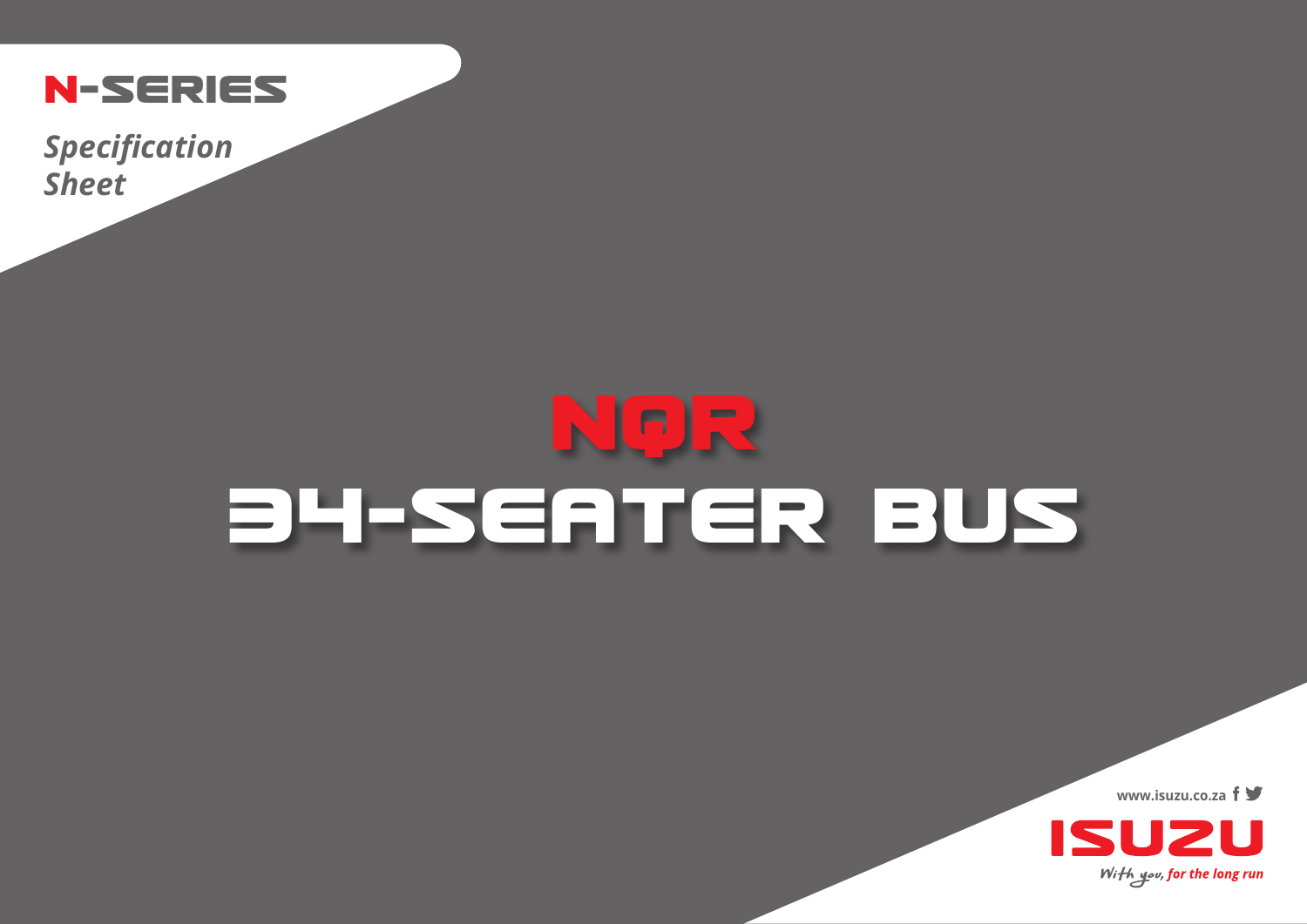

*Specification Sheet*

## **NQR 34-SEATER BUS**

**www.isuzu.co.za**